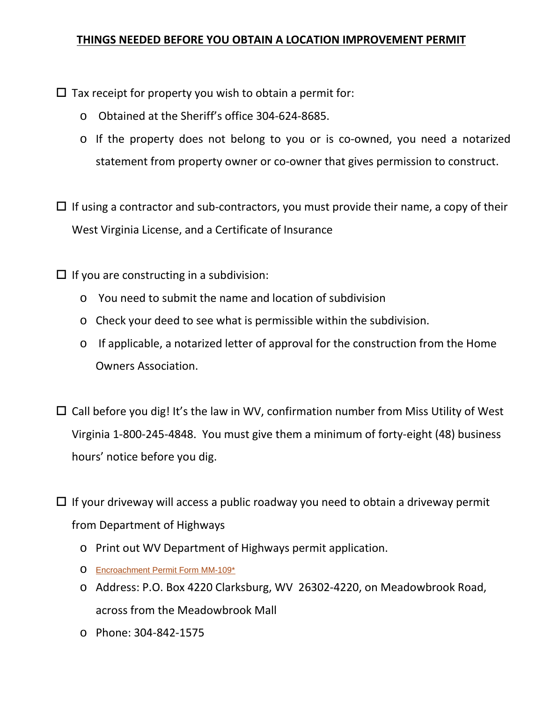# **THINGS NEEDED BEFORE YOU OBTAIN A LOCATION IMPROVEMENT PERMIT**

 $\Box$  Tax receipt for property you wish to obtain a permit for:

- o Obtained at the Sheriff's office 304-624-8685.
- o If the property does not belong to you or is co-owned, you need a notarized statement from property owner or co-owner that gives permission to construct.

 $\Box$  If using a contractor and sub-contractors, you must provide their name, a copy of their West Virginia License, and a Certificate of Insurance

 $\Box$  If you are constructing in a subdivision:

- o You need to submit the name and location of subdivision
- o Check your deed to see what is permissible within the subdivision.
- o If applicable, a notarized letter of approval for the construction from the Home Owners Association.
- $\Box$  Call before you dig! It's the law in WV, confirmation number from Miss Utility of West Virginia 1-800-245-4848. You must give them a minimum of forty-eight (48) business hours' notice before you dig.
- $\Box$  If your driveway will access a public roadway you need to obtain a driveway permit from Department of Highways
	- o Print out WV Department of Highways permit application.
	- o [Encroachment Permit Form MM-109\\*](http://www.transportation.wv.gov/highways/engineering/files/MM-109.pdf)
	- o Address: P.O. Box 4220 Clarksburg, WV 26302-4220, on Meadowbrook Road, across from the Meadowbrook Mall
	- o Phone: 304-842-1575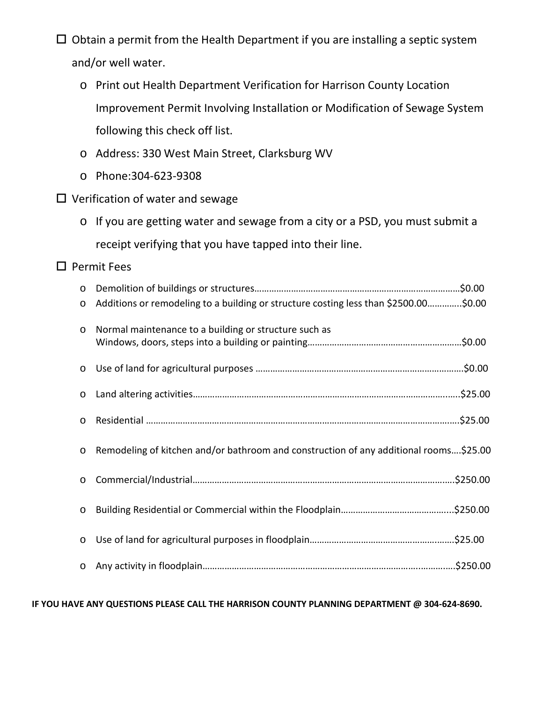$\Box$  Obtain a permit from the Health Department if you are installing a septic system and/or well water.

- o Print out Health Department Verification for Harrison County Location Improvement Permit Involving Installation or Modification of Sewage System following this check off list.
- o Address: 330 West Main Street, Clarksburg WV
- o Phone:304-623-9308
- $\square$  Verification of water and sewage
	- o If you are getting water and sewage from a city or a PSD, you must submit a receipt verifying that you have tapped into their line.

## $\square$  Permit Fees

| $\circ$ |                                                                                       |
|---------|---------------------------------------------------------------------------------------|
| $\circ$ | Additions or remodeling to a building or structure costing less than \$2500.00\$0.00  |
| $\circ$ | Normal maintenance to a building or structure such as                                 |
| $\circ$ |                                                                                       |
| $\circ$ |                                                                                       |
| $\circ$ |                                                                                       |
| $\circ$ | Remodeling of kitchen and/or bathroom and construction of any additional rooms\$25.00 |
| $\circ$ |                                                                                       |
| $\circ$ |                                                                                       |
| $\circ$ |                                                                                       |
| $\circ$ |                                                                                       |

### **IF YOU HAVE ANY QUESTIONS PLEASE CALL THE HARRISON COUNTY PLANNING DEPARTMENT @ 304-624-8690.**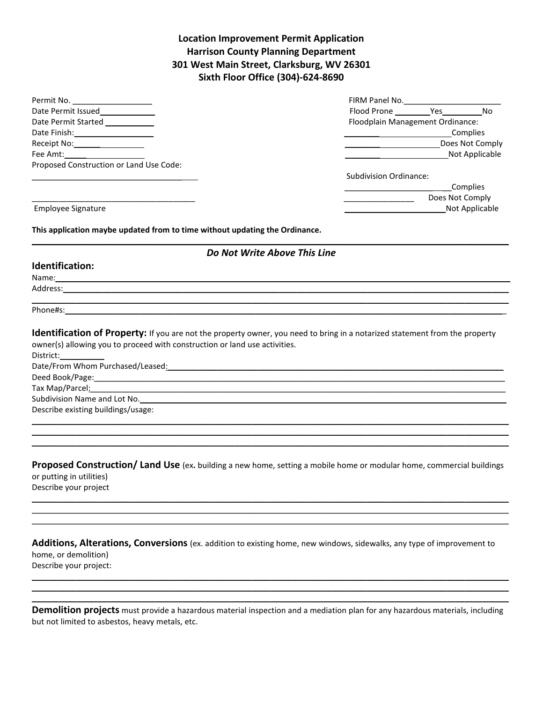### **Location Improvement Permit Application Harrison County Planning Department 301 West Main Street, Clarksburg, WV 26301 Sixth Floor Office (304)-624-8690**

| Permit No.                                                                                                                                                                                                                    | FIRM Panel No.                   |
|-------------------------------------------------------------------------------------------------------------------------------------------------------------------------------------------------------------------------------|----------------------------------|
| Date Permit Issued                                                                                                                                                                                                            |                                  |
| Date Permit Started                                                                                                                                                                                                           | Floodplain Management Ordinance: |
| Date Finish: Note that the state of the state of the state of the state of the state of the state of the state                                                                                                                | Complies                         |
| Receipt No: The control of the control of the control of the control of the control of the control of the control of the control of the control of the control of the control of the control of the control of the control of | Does Not Comply                  |
| Fee Amt: will be a series of the series of the series of the series of the series of the series of the series o                                                                                                               | Not Applicable                   |
| Proposed Construction or Land Use Code:                                                                                                                                                                                       |                                  |
|                                                                                                                                                                                                                               | Subdivision Ordinance:           |
|                                                                                                                                                                                                                               | Complies                         |
|                                                                                                                                                                                                                               | Does Not Comply                  |
| Employee Signature                                                                                                                                                                                                            | Not Applicable                   |

**This application maybe updated from to time without updating the Ordinance.**

#### **\_\_\_\_\_\_\_\_\_\_\_\_\_\_\_\_\_\_\_\_\_\_\_\_\_\_\_\_\_\_\_\_\_\_\_\_\_\_\_\_\_\_\_\_\_\_\_\_\_\_\_\_\_\_\_\_\_\_\_\_\_\_\_\_\_\_\_\_\_\_\_\_\_\_\_\_\_\_\_\_\_\_\_\_\_\_\_\_\_\_\_\_\_\_\_\_\_\_\_\_\_\_\_\_\_\_\_\_** *Do Not Write Above This Line*

#### **Identification:**

Name*:\_\_\_\_\_\_\_\_\_\_\_\_\_\_\_\_\_\_\_\_\_\_\_\_\_\_\_\_\_\_\_\_\_\_\_\_\_\_\_\_\_\_\_\_\_\_\_*\_\_\_\_\_\_\_\_\_\_\_\_\_\_\_\_\_\_\_\_\_\_\_\_\_\_\_\_\_\_\_\_\_\_\_\_\_\_\_\_\_\_\_\_\_\_\_\_\_\_\_\_\_\_\_\_  $Address: \_$ 

\_\_\_\_\_\_\_\_\_\_\_\_\_\_\_\_\_\_\_\_\_\_\_\_\_\_\_\_\_\_\_\_\_\_\_\_\_\_\_\_\_\_\_\_\_\_\_\_\_\_\_\_\_\_\_\_\_\_\_\_\_\_\_\_\_\_\_\_\_\_\_\_\_\_\_\_\_\_\_\_\_\_\_\_\_\_\_\_\_\_\_\_\_\_\_\_\_\_\_\_\_\_\_\_\_\_\_\_ Phone#s:\_\_\_\_\_\_\_\_\_\_\_\_\_\_\_\_\_\_\_\_\_\_\_\_\_\_\_\_\_\_\_\_\_\_\_\_\_\_\_\_\_\_\_\_\_\_\_\_\_\_\_\_\_\_\_\_\_\_\_\_\_\_\_\_\_\_\_\_\_\_\_\_\_\_\_\_\_\_\_\_\_\_\_\_\_\_\_\_\_\_\_\_\_\_\_\_\_\_\_\_

**Identification of Property:** If you are not the property owner, you need to bring in a notarized statement from the property owner(s) allowing you to proceed with construction or land use activities.

District:

Date/From Whom Purchased/Leased: <u>example and the set of the set of the set of the set of the set of the set of the set of the set of the set of the set of the set of the set of the set of the set of the set of the set of </u>

Deed Book/Page:

Tax Map/Parcel:

Subdivision Name and Lot No.

Describe existing buildings/usage:

**Proposed Construction/ Land Use** (ex**.** building a new home, setting a mobile home or modular home, commercial buildings or putting in utilities)

\_\_\_\_\_\_\_\_\_\_\_\_\_\_\_\_\_\_\_\_\_\_\_\_\_\_\_\_\_\_\_\_\_\_\_\_\_\_\_\_\_\_\_\_\_\_\_\_\_\_\_\_\_\_\_\_\_\_\_\_\_\_\_\_\_\_\_\_\_\_\_\_\_\_\_\_\_\_\_\_\_\_\_\_\_\_\_\_\_\_\_\_\_\_\_\_\_\_\_\_\_\_\_\_\_\_\_\_ \_\_\_\_\_\_\_\_\_\_\_\_\_\_\_\_\_\_\_\_\_\_\_\_\_\_\_\_\_\_\_\_\_\_\_\_\_\_\_\_\_\_\_\_\_\_\_\_\_\_\_\_\_\_\_\_\_\_\_\_\_\_\_\_\_\_\_\_\_\_\_\_\_\_\_\_\_\_\_\_\_\_\_\_\_\_\_\_\_\_\_\_\_\_\_\_\_\_\_\_\_\_\_\_\_\_\_\_ \_\_\_\_\_\_\_\_\_\_\_\_\_\_\_\_\_\_\_\_\_\_\_\_\_\_\_\_\_\_\_\_\_\_\_\_\_\_\_\_\_\_\_\_\_\_\_\_\_\_\_\_\_\_\_\_\_\_\_\_\_\_\_\_\_\_\_\_\_\_\_\_\_\_\_\_\_\_\_\_\_\_\_\_\_\_\_\_\_\_\_\_\_\_\_\_\_\_\_\_\_\_\_\_\_\_\_\_

\_\_\_\_\_\_\_\_\_\_\_\_\_\_\_\_\_\_\_\_\_\_\_\_\_\_\_\_\_\_\_\_\_\_\_\_\_\_\_\_\_\_\_\_\_\_\_\_\_\_\_\_\_\_\_\_\_\_\_\_\_\_\_\_\_\_\_\_\_\_\_\_\_\_\_\_\_\_\_\_\_\_\_\_\_\_\_\_\_\_\_\_\_\_\_\_\_\_\_\_\_\_\_\_\_\_\_\_ \_\_\_\_\_\_\_\_\_\_\_\_\_\_\_\_\_\_\_\_\_\_\_\_\_\_\_\_\_\_\_\_\_\_\_\_\_\_\_\_\_\_\_\_\_\_\_\_\_\_\_\_\_\_\_\_\_\_\_\_\_\_\_\_\_\_\_\_\_\_\_\_\_\_\_\_\_\_\_\_\_\_\_\_\_\_\_\_\_\_\_\_\_\_\_\_\_\_\_\_\_\_\_\_\_\_\_\_ \_\_\_\_\_\_\_\_\_\_\_\_\_\_\_\_\_\_\_\_\_\_\_\_\_\_\_\_\_\_\_\_\_\_\_\_\_\_\_\_\_\_\_\_\_\_\_\_\_\_\_\_\_\_\_\_\_\_\_\_\_\_\_\_\_\_\_\_\_\_\_\_\_\_\_\_\_\_\_\_\_\_\_\_\_\_\_\_\_\_\_\_\_\_\_\_\_\_\_\_\_\_\_\_\_\_\_\_

Describe your project

| Additions, Alterations, Conversions (ex. addition to existing home, new windows, sidewalks, any type of improvement to |
|------------------------------------------------------------------------------------------------------------------------|
| home, or demolition)                                                                                                   |
| Describe your project:                                                                                                 |

\_\_\_\_\_\_\_\_\_\_\_\_\_\_\_\_\_\_\_\_\_\_\_\_\_\_\_\_\_\_\_\_\_\_\_\_\_\_\_\_\_\_\_\_\_\_\_\_\_\_\_\_\_\_\_\_\_\_\_\_\_\_\_\_\_\_\_\_\_\_\_\_\_\_\_\_\_\_\_\_\_\_\_\_\_\_\_\_\_\_\_\_\_\_\_\_\_\_\_\_\_\_\_\_\_\_\_\_ \_\_\_\_\_\_\_\_\_\_\_\_\_\_\_\_\_\_\_\_\_\_\_\_\_\_\_\_\_\_\_\_\_\_\_\_\_\_\_\_\_\_\_\_\_\_\_\_\_\_\_\_\_\_\_\_\_\_\_\_\_\_\_\_\_\_\_\_\_\_\_\_\_\_\_\_\_\_\_\_\_\_\_\_\_\_\_\_\_\_\_\_\_\_\_\_\_\_\_\_\_\_\_\_\_\_\_\_ \_\_\_\_\_\_\_\_\_\_\_\_\_\_\_\_\_\_\_\_\_\_\_\_\_\_\_\_\_\_\_\_\_\_\_\_\_\_\_\_\_\_\_\_\_\_\_\_\_\_\_\_\_\_\_\_\_\_\_\_\_\_\_\_\_\_\_\_\_\_\_\_\_\_\_\_\_\_\_\_\_\_\_\_\_\_\_\_\_\_\_\_\_\_\_\_\_\_\_\_\_\_\_\_\_\_\_\_

| Demolition projects must provide a hazardous material inspection and a mediation plan for any hazardous materials, including |  |
|------------------------------------------------------------------------------------------------------------------------------|--|
| but not limited to asbestos, heavy metals, etc.                                                                              |  |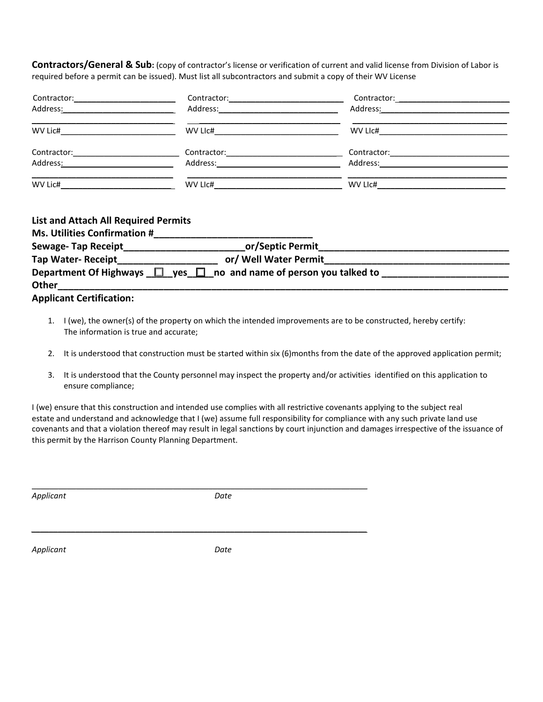**Contractors/General & Sub:** (copy of contractor's license or verification of current and valid license from Division of Labor is required before a permit can be issued). Must list all subcontractors and submit a copy of their WV License

| Contractor: 2000                                                                                                                                                                                                               | Contractor: 2000           |                                                                                                                |  |
|--------------------------------------------------------------------------------------------------------------------------------------------------------------------------------------------------------------------------------|----------------------------|----------------------------------------------------------------------------------------------------------------|--|
| Address: Analysis and the state of the state of the state of the state of the state of the state of the state o                                                                                                                |                            | Address: No. 1996. Address: No. 1997. In the set of the set of the set of the set of the set of the set of the |  |
| WV Lic#                                                                                                                                                                                                                        | WV LIC#                    | WV LIC#                                                                                                        |  |
| Contractor: University of the Contractor:                                                                                                                                                                                      | Contractor: 2000 2010 2021 |                                                                                                                |  |
| Address: Analysis and the set of the set of the set of the set of the set of the set of the set of the set of the set of the set of the set of the set of the set of the set of the set of the set of the set of the set of th |                            |                                                                                                                |  |
|                                                                                                                                                                                                                                |                            |                                                                                                                |  |
| <b>List and Attach All Required Permits</b><br>Me Iltilities Confirmation #                                                                                                                                                    |                            |                                                                                                                |  |

| <b>IVIS. OUTILIES CONTINUATION #</b> |                                                                              |  |
|--------------------------------------|------------------------------------------------------------------------------|--|
| <b>Sewage-Tap Receipt</b>            | or/Septic Permit                                                             |  |
| <b>Tap Water- Receipt</b>            | or/ Well Water Permit                                                        |  |
|                                      | Department Of Highways $\Box$ yes $\Box$ no and name of person you talked to |  |
| Other                                |                                                                              |  |

**Applicant Certification:**

- 1. I (we), the owner(s) of the property on which the intended improvements are to be constructed, hereby certify: The information is true and accurate;
- 2. It is understood that construction must be started within six (6)months from the date of the approved application permit;
- 3. It is understood that the County personnel may inspect the property and/or activities identified on this application to ensure compliance;

I (we) ensure that this construction and intended use complies with all restrictive covenants applying to the subject real estate and understand and acknowledge that I (we) assume full responsibility for compliance with any such private land use covenants and that a violation thereof may result in legal sanctions by court injunction and damages irrespective of the issuance of this permit by the Harrison County Planning Department.

*Applicant Date*

 $\mathcal{L}_\mathcal{L} = \{ \mathcal{L}_\mathcal{L} = \{ \mathcal{L}_\mathcal{L} = \{ \mathcal{L}_\mathcal{L} = \{ \mathcal{L}_\mathcal{L} = \{ \mathcal{L}_\mathcal{L} = \{ \mathcal{L}_\mathcal{L} = \{ \mathcal{L}_\mathcal{L} = \{ \mathcal{L}_\mathcal{L} = \{ \mathcal{L}_\mathcal{L} = \{ \mathcal{L}_\mathcal{L} = \{ \mathcal{L}_\mathcal{L} = \{ \mathcal{L}_\mathcal{L} = \{ \mathcal{L}_\mathcal{L} = \{ \mathcal{L}_\mathcal{$ 

*\_\_\_\_\_\_\_\_\_\_\_\_\_\_\_\_\_\_\_\_\_\_\_\_\_\_\_\_\_\_\_\_\_\_\_\_\_\_\_\_\_\_\_\_\_\_\_\_\_\_\_\_\_\_\_\_\_\_\_\_\_\_\_\_\_\_\_\_\_\_\_\_\_\_\_\_*

*Applicant Date*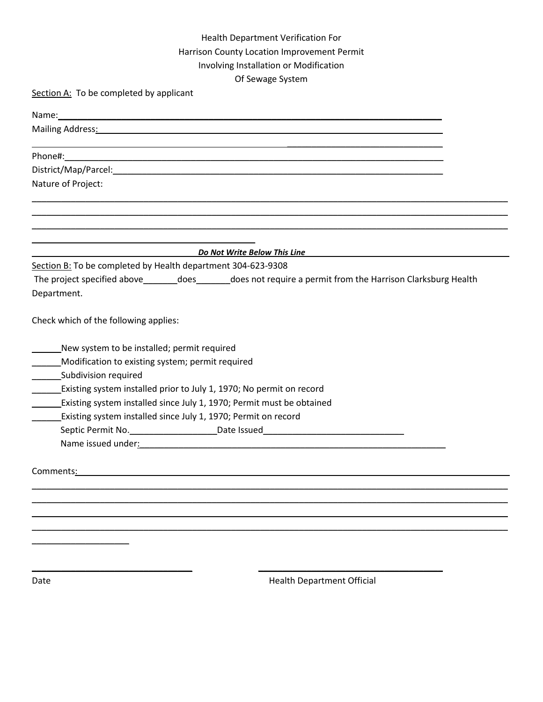## Health Department Verification For Harrison County Location Improvement Permit Involving Installation or Modification Of Sewage System

Section A: To be completed by applicant

| Mailing Address: National Address: National Address of Address and Address of Address and Address of Address and Address and Address and Address and Address and Address and Address and Address and Address and Address and A     |  |
|------------------------------------------------------------------------------------------------------------------------------------------------------------------------------------------------------------------------------------|--|
|                                                                                                                                                                                                                                    |  |
| District/Map/Parcel: www.assett.com/watch?com/watch?com/watch?com/watch?com/watch?com/watch?com/watch?com/watch?com/                                                                                                               |  |
| Nature of Project:                                                                                                                                                                                                                 |  |
|                                                                                                                                                                                                                                    |  |
| <b>Example 10 Do Not Write Below This Line</b>                                                                                                                                                                                     |  |
| Section B: To be completed by Health department 304-623-9308                                                                                                                                                                       |  |
| The project specified above__________does________does not require a permit from the Harrison Clarksburg Health<br>Department.                                                                                                      |  |
| Check which of the following applies:                                                                                                                                                                                              |  |
| New system to be installed; permit required                                                                                                                                                                                        |  |
| Modification to existing system; permit required                                                                                                                                                                                   |  |
| Subdivision required                                                                                                                                                                                                               |  |
| Existing system installed prior to July 1, 1970; No permit on record<br>$\frac{1}{2}$                                                                                                                                              |  |
| Existing system installed since July 1, 1970; Permit must be obtained                                                                                                                                                              |  |
| Existing system installed since July 1, 1970; Permit on record                                                                                                                                                                     |  |
| Septic Permit No. ____________________________Date Issued________________________                                                                                                                                                  |  |
| Name issued under: Name issued under the state of the state of the state of the state of the state of the state of the state of the state of the state of the state of the state of the state of the state of the state of the     |  |
| <b>Comments:</b> the comments of the commutation of the commutation of the commutation of the commutation of the commutation of the commutation of the commutation of the commutation of the commutation of the commutation of the |  |
|                                                                                                                                                                                                                                    |  |
|                                                                                                                                                                                                                                    |  |
|                                                                                                                                                                                                                                    |  |
|                                                                                                                                                                                                                                    |  |
|                                                                                                                                                                                                                                    |  |
|                                                                                                                                                                                                                                    |  |
|                                                                                                                                                                                                                                    |  |

Date **Date Example 20 Date Example 20 Health Department Official**